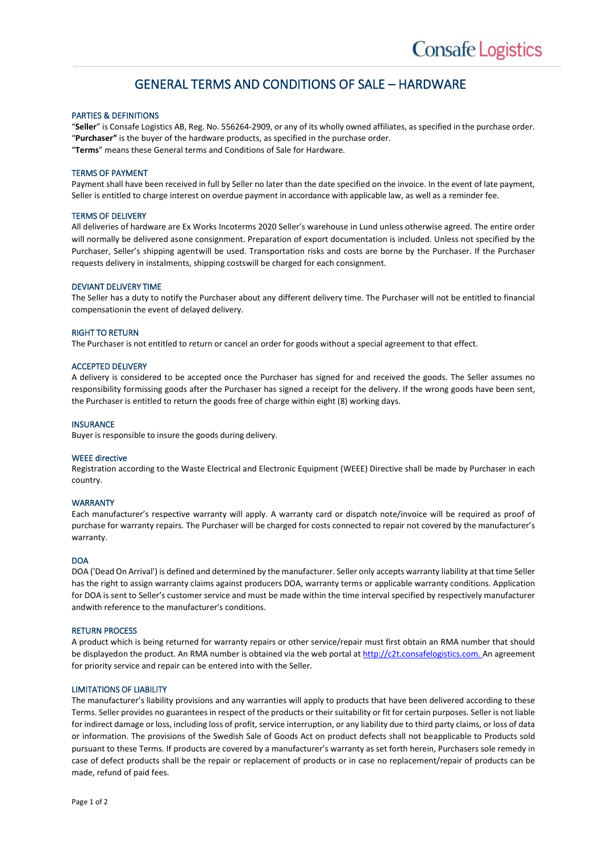# GENERAL TERMS AND CONDITIONS OF SALE – HARDWARE

# PARTIES & DEFINITIONS

"**Seller**" is Consafe Logistics AB, Reg. No. 556264-2909, or any of its wholly owned affiliates, as specified in the purchase order. "**Purchaser"** is the buyer of the hardware products, as specified in the purchase order. "**Terms**" means these General terms and Conditions of Sale for Hardware.

### TERMS OF PAYMENT

Payment shall have been received in full by Seller no later than the date specified on the invoice. In the event of late payment, Seller is entitled to charge interest on overdue payment in accordance with applicable law, as well as a reminder fee.

# TERMS OF DELIVERY

All deliveries of hardware are Ex Works Incoterms 2020 Seller's warehouse in Lund unless otherwise agreed. The entire order will normally be delivered asone consignment. Preparation of export documentation is included. Unless not specified by the Purchaser, Seller's shipping agentwill be used. Transportation risks and costs are borne by the Purchaser. If the Purchaser requests delivery in instalments, shipping costswill be charged for each consignment.

### DEVIANT DELIVERY TIME

The Seller has a duty to notify the Purchaser about any different delivery time. The Purchaser will not be entitled to financial compensationin the event of delayed delivery.

### RIGHT TO RETURN

The Purchaser is not entitled to return or cancel an order for goods without a special agreement to that effect.

### ACCEPTED DELIVERY

A delivery is considered to be accepted once the Purchaser has signed for and received the goods. The Seller assumes no responsibility formissing goods after the Purchaser has signed a receipt for the delivery. If the wrong goods have been sent, the Purchaser is entitled to return the goods free of charge within eight (8) working days.

#### INSURANCE

Buyer is responsible to insure the goods during delivery.

### WEEE directive

Registration according to the Waste Electrical and Electronic Equipment (WEEE) Directive shall be made by Purchaser in each country.

### WARRANTY

Each manufacturer's respective warranty will apply. A warranty card or dispatch note/invoice will be required as proof of purchase for warranty repairs. The Purchaser will be charged for costs connected to repair not covered by the manufacturer's warranty.

#### DOA

DOA ('Dead On Arrival') is defined and determined by the manufacturer. Seller only accepts warranty liability at that time Seller has the right to assign warranty claims against producers DOA, warranty terms or applicable warranty conditions. Application for DOA is sent to Seller's customer service and must be made within the time interval specified by respectively manufacturer andwith reference to the manufacturer's conditions.

#### RETURN PROCESS

A product which is being returned for warranty repairs or other service/repair must first obtain an RMA number that should be displayedon the product. An RMA number is obtained via the web portal at http://c2t.consafelogistics.com. An agreement for priority service and repair can be entered into with the Seller.

# LIMITATIONS OF LIABILITY

The manufacturer's liability provisions and any warranties will apply to products that have been delivered according to these Terms. Seller provides no guarantees in respect of the products or their suitability or fit for certain purposes. Seller is not liable for indirect damage or loss, including loss of profit, service interruption, or any liability due to third party claims, or loss of data or information. The provisions of the Swedish Sale of Goods Act on product defects shall not beapplicable to Products sold pursuant to these Terms. If products are covered by a manufacturer's warranty as set forth herein, Purchasers sole remedy in case of defect products shall be the repair or replacement of products or in case no replacement/repair of products can be made, refund of paid fees.